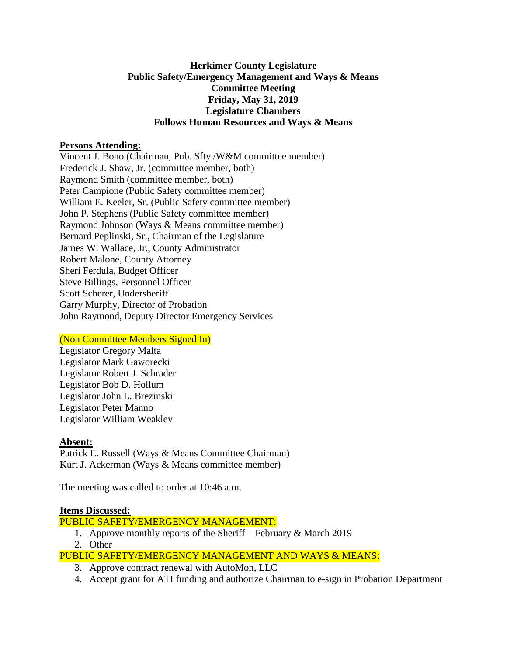### **Herkimer County Legislature Public Safety/Emergency Management and Ways & Means Committee Meeting Friday, May 31, 2019 Legislature Chambers Follows Human Resources and Ways & Means**

### **Persons Attending:**

Vincent J. Bono (Chairman, Pub. Sfty./W&M committee member) Frederick J. Shaw, Jr. (committee member, both) Raymond Smith (committee member, both) Peter Campione (Public Safety committee member) William E. Keeler, Sr. (Public Safety committee member) John P. Stephens (Public Safety committee member) Raymond Johnson (Ways & Means committee member) Bernard Peplinski, Sr., Chairman of the Legislature James W. Wallace, Jr., County Administrator Robert Malone, County Attorney Sheri Ferdula, Budget Officer Steve Billings, Personnel Officer Scott Scherer, Undersheriff Garry Murphy, Director of Probation John Raymond, Deputy Director Emergency Services

# (Non Committee Members Signed In)

Legislator Gregory Malta Legislator Mark Gaworecki Legislator Robert J. Schrader Legislator Bob D. Hollum Legislator John L. Brezinski Legislator Peter Manno Legislator William Weakley

### **Absent:**

Patrick E. Russell (Ways & Means Committee Chairman) Kurt J. Ackerman (Ways & Means committee member)

The meeting was called to order at 10:46 a.m.

### **Items Discussed:**

# PUBLIC SAFETY/EMERGENCY MANAGEMENT:

- 1. Approve monthly reports of the Sheriff February & March 2019
- 2. Other

# PUBLIC SAFETY/EMERGENCY MANAGEMENT AND WAYS & MEANS:

- 3. Approve contract renewal with AutoMon, LLC
- 4. Accept grant for ATI funding and authorize Chairman to e-sign in Probation Department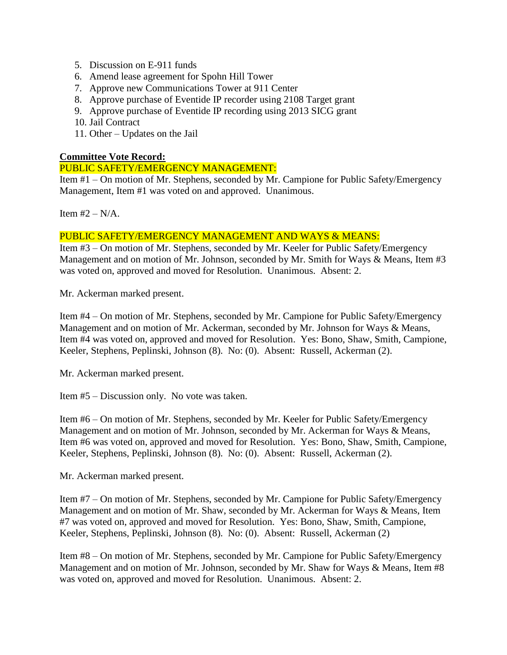- 5. Discussion on E-911 funds
- 6. Amend lease agreement for Spohn Hill Tower
- 7. Approve new Communications Tower at 911 Center
- 8. Approve purchase of Eventide IP recorder using 2108 Target grant
- 9. Approve purchase of Eventide IP recording using 2013 SICG grant
- 10. Jail Contract
- 11. Other Updates on the Jail

### **Committee Vote Record:**

### PUBLIC SAFETY/EMERGENCY MANAGEMENT:

Item #1 – On motion of Mr. Stephens, seconded by Mr. Campione for Public Safety/Emergency Management, Item #1 was voted on and approved. Unanimous.

Item  $#2 - N/A$ .

### PUBLIC SAFETY/EMERGENCY MANAGEMENT AND WAYS & MEANS:

Item #3 – On motion of Mr. Stephens, seconded by Mr. Keeler for Public Safety/Emergency Management and on motion of Mr. Johnson, seconded by Mr. Smith for Ways & Means, Item #3 was voted on, approved and moved for Resolution. Unanimous. Absent: 2.

Mr. Ackerman marked present.

Item #4 – On motion of Mr. Stephens, seconded by Mr. Campione for Public Safety/Emergency Management and on motion of Mr. Ackerman, seconded by Mr. Johnson for Ways & Means, Item #4 was voted on, approved and moved for Resolution. Yes: Bono, Shaw, Smith, Campione, Keeler, Stephens, Peplinski, Johnson (8). No: (0). Absent: Russell, Ackerman (2).

Mr. Ackerman marked present.

Item #5 – Discussion only. No vote was taken.

Item #6 – On motion of Mr. Stephens, seconded by Mr. Keeler for Public Safety/Emergency Management and on motion of Mr. Johnson, seconded by Mr. Ackerman for Ways & Means, Item #6 was voted on, approved and moved for Resolution. Yes: Bono, Shaw, Smith, Campione, Keeler, Stephens, Peplinski, Johnson (8). No: (0). Absent: Russell, Ackerman (2).

Mr. Ackerman marked present.

Item #7 – On motion of Mr. Stephens, seconded by Mr. Campione for Public Safety/Emergency Management and on motion of Mr. Shaw, seconded by Mr. Ackerman for Ways & Means, Item #7 was voted on, approved and moved for Resolution. Yes: Bono, Shaw, Smith, Campione, Keeler, Stephens, Peplinski, Johnson (8). No: (0). Absent: Russell, Ackerman (2)

Item #8 – On motion of Mr. Stephens, seconded by Mr. Campione for Public Safety/Emergency Management and on motion of Mr. Johnson, seconded by Mr. Shaw for Ways & Means, Item #8 was voted on, approved and moved for Resolution. Unanimous. Absent: 2.